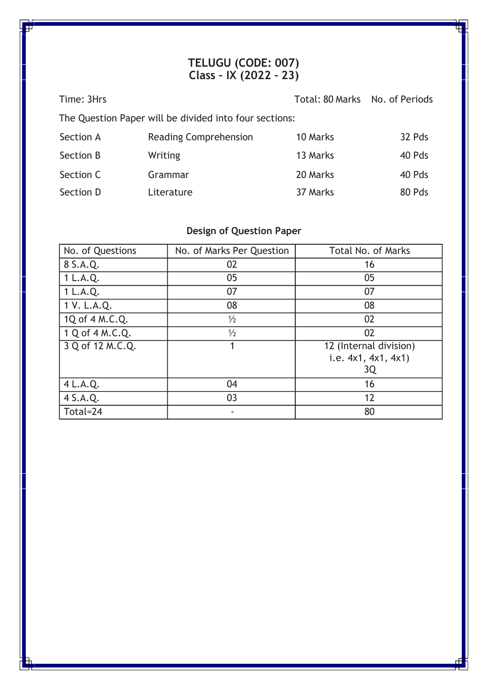### **TELUGU (CODE: 007) Class – IX (2022 – 23)**

| Time: 3Hrs                                             |                              | Total: 80 Marks No. of Periods |        |  |
|--------------------------------------------------------|------------------------------|--------------------------------|--------|--|
| The Question Paper will be divided into four sections: |                              |                                |        |  |
| Section A                                              | <b>Reading Comprehension</b> | 10 Marks                       | 32 Pds |  |
| Section B                                              | <b>Writing</b>               | 13 Marks                       | 40 Pds |  |
| Section C                                              | Grammar                      | 20 Marks                       | 40 Pds |  |
| Section D                                              | Literature                   | 37 Marks                       | 80 Pds |  |

# **Design of Question Paper**

| No. of Questions | No. of Marks Per Question | <b>Total No. of Marks</b> |
|------------------|---------------------------|---------------------------|
| 8 S.A.Q.         | 02                        | 16                        |
| 1 L.A.Q.         | 05                        | 05                        |
| 1 L.A.Q.         | 07                        | 07                        |
| 1 V. L.A.Q.      | 08                        | 08                        |
| 1Q of 4 M.C.Q.   | $\frac{1}{2}$             | 02                        |
| 1 Q of 4 M.C.Q.  | $\frac{1}{2}$             | 02                        |
| 3 Q of 12 M.C.Q. |                           | 12 (Internal division)    |
|                  |                           | i.e. 4x1, 4x1, 4x1)       |
|                  |                           | 3Q                        |
| 4 L.A.Q.         | 04                        | 16                        |
| 4 S.A.Q.         | 03                        | 12                        |
| Total=24         |                           | 80                        |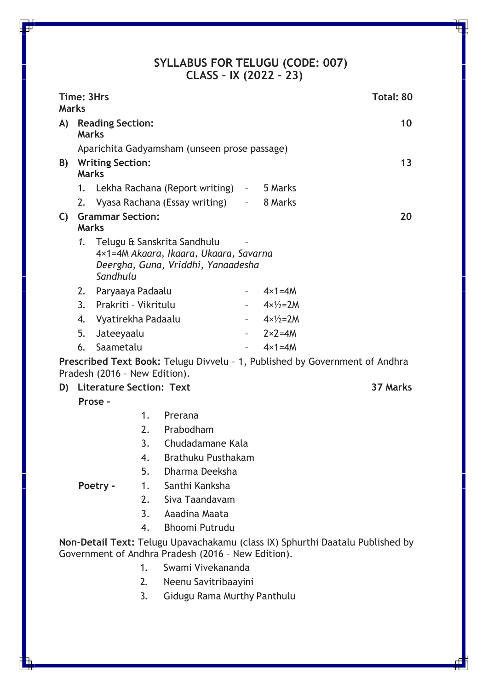#### **SYLLABUS FOR TELUGU (CODE: 007) CLASS – IX (2022 – 23)**

<span id="page-1-0"></span>

| <b>Marks</b>                                                                                                 |                                                                                                                                     | Time: 3Hrs                              |    | Total: 80                                                                                                   |
|--------------------------------------------------------------------------------------------------------------|-------------------------------------------------------------------------------------------------------------------------------------|-----------------------------------------|----|-------------------------------------------------------------------------------------------------------------|
| A)                                                                                                           |                                                                                                                                     | <b>Reading Section:</b><br><b>Marks</b> |    | 10                                                                                                          |
|                                                                                                              | Aparichita Gadyamsham (unseen prose passage)                                                                                        |                                         |    |                                                                                                             |
| B)                                                                                                           | <b>Writing Section:</b><br><b>Marks</b>                                                                                             |                                         |    | 13                                                                                                          |
|                                                                                                              | 1.                                                                                                                                  |                                         |    | Lekha Rachana (Report writing) - 5 Marks                                                                    |
|                                                                                                              | 2.                                                                                                                                  |                                         |    | Vyasa Rachana (Essay writing) - 8 Marks                                                                     |
| C)                                                                                                           |                                                                                                                                     | <b>Grammar Section:</b><br><b>Marks</b> |    | 20                                                                                                          |
|                                                                                                              | 1.                                                                                                                                  | Sandhulu                                |    | Telugu & Sanskrita Sandhulu<br>4×1=4M Akaara, Ikaara, Ukaara, Savarna<br>Deergha, Guna, Vriddhi, Yanaadesha |
|                                                                                                              | 2.                                                                                                                                  | Paryaaya Padaalu                        |    | $4 \times 1 = 4M$<br>$\omega_{\rm{max}}$ and $\omega_{\rm{max}}$                                            |
|                                                                                                              | 3.                                                                                                                                  | Prakriti - Vikritulu                    |    | $-4 \times \frac{1}{2} = 2M$                                                                                |
|                                                                                                              | 4.                                                                                                                                  | Vyatirekha Padaalu                      |    | $-4 \times \frac{1}{2} = 2M$                                                                                |
|                                                                                                              | 5.                                                                                                                                  | Jateeyaalu                              |    | $-2 \times 2 = 4M$                                                                                          |
|                                                                                                              | 6.                                                                                                                                  | Saametalu                               |    | $4 \times 1 = 4M$                                                                                           |
| Prescribed Text Book: Telugu Divvelu - 1, Published by Government of Andhra<br>Pradesh (2016 - New Edition). |                                                                                                                                     |                                         |    |                                                                                                             |
| D)                                                                                                           |                                                                                                                                     | <b>Literature Section: Text</b>         |    | 37 Marks                                                                                                    |
|                                                                                                              |                                                                                                                                     | Prose -                                 |    |                                                                                                             |
|                                                                                                              |                                                                                                                                     |                                         | 1. | Prerana                                                                                                     |
|                                                                                                              |                                                                                                                                     |                                         | 2. | Prabodham                                                                                                   |
|                                                                                                              |                                                                                                                                     |                                         | 3. | Chudadamane Kala                                                                                            |
|                                                                                                              |                                                                                                                                     |                                         | 4. | Brathuku Pusthakam                                                                                          |
|                                                                                                              |                                                                                                                                     |                                         | 5. | Dharma Deeksha                                                                                              |
|                                                                                                              |                                                                                                                                     | Poetry -                                |    | 1. Santhi Kanksha                                                                                           |
|                                                                                                              |                                                                                                                                     |                                         |    | 2. Siva Taandavam                                                                                           |
|                                                                                                              |                                                                                                                                     |                                         |    | 3. Aaadina Maata                                                                                            |
|                                                                                                              |                                                                                                                                     |                                         | 4. | <b>Bhoomi Putrudu</b>                                                                                       |
|                                                                                                              | Non-Detail Text: Telugu Upavachakamu (class IX) Sphurthi Daatalu Published by<br>Government of Andhra Pradesh (2016 - New Edition). |                                         |    |                                                                                                             |
|                                                                                                              |                                                                                                                                     |                                         | 1. | Swami Vivekananda                                                                                           |
|                                                                                                              |                                                                                                                                     |                                         | 2. | Neenu Savitribaayini                                                                                        |
|                                                                                                              |                                                                                                                                     |                                         | 3. | <b>Gidugu Rama Murthy Panthulu</b>                                                                          |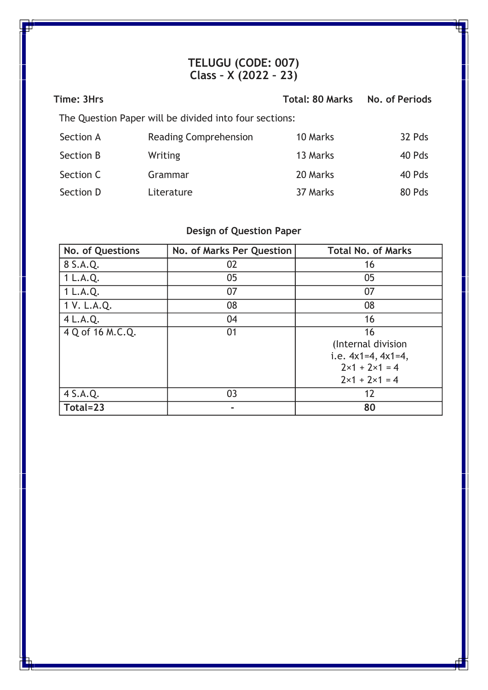### **TELUGU (CODE: 007) Class – X (2022 – 23)**

| Time: 3Hrs                                             |                              | <b>Total: 80 Marks</b> | No. of Periods |
|--------------------------------------------------------|------------------------------|------------------------|----------------|
| The Question Paper will be divided into four sections: |                              |                        |                |
| Section A                                              | <b>Reading Comprehension</b> | 10 Marks               | 32 Pds         |
| Section B                                              | Writing                      | 13 Marks               | 40 Pds         |
| Section C                                              | Grammar                      | 20 Marks               | 40 Pds         |
| Section D                                              | Literature                   | 37 Marks               | 80 Pds         |

# **Design of Question Paper**

| No. of Questions | No. of Marks Per Question | <b>Total No. of Marks</b>     |
|------------------|---------------------------|-------------------------------|
| 8 S.A.Q.         | 02                        | 16                            |
| 1 L.A.Q.         | 05                        | 05                            |
| 1 L.A.Q.         | 07                        | 07                            |
| 1 V. L.A.Q.      | 08                        | 08                            |
| 4 L.A.Q.         | 04                        | 16                            |
| 4 Q of 16 M.C.Q. | 01                        | 16                            |
|                  |                           | (Internal division            |
|                  |                           | i.e. $4x1=4$ , $4x1=4$ ,      |
|                  |                           | $2 \times 1 + 2 \times 1 = 4$ |
|                  |                           | $2 \times 1 + 2 \times 1 = 4$ |
| 4 S.A.Q.         | 03                        | 12                            |
| Total=23         |                           | 80                            |